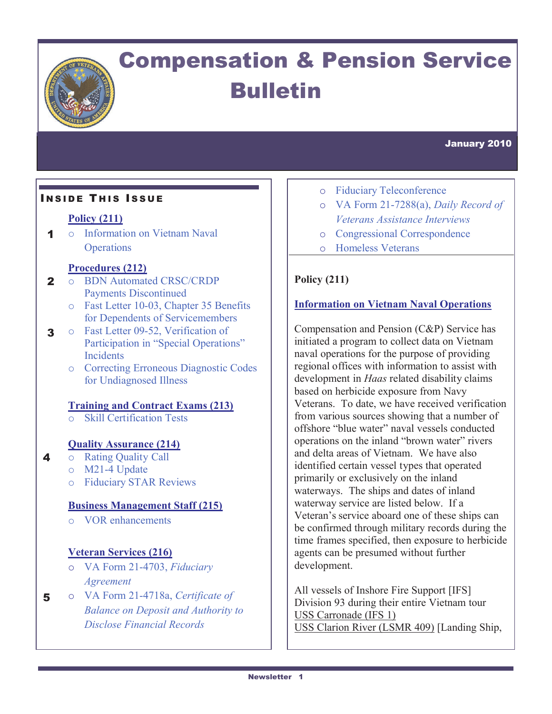

# Compensation & Pension Service Bulletin

January 2010

### **INSIDE THIS ISSUE**

### **Policy (211)**

1 o Information on Vietnam Naval **Operations** 

#### **Procedures (212)**

- 2 o BDN Automated CRSC/CRDP Payments Discontinued
	- o Fast Letter 10-03, Chapter 35 Benefits for Dependents of Servicemembers
- 3 o Fast Letter 09-52, Verification of Participation in "Special Operations" **Incidents** 
	- o Correcting Erroneous Diagnostic Codes for Undiagnosed Illness

#### **Training and Contract Exams (213)**

o Skill Certification Tests

#### **Quality Assurance (214)**

- o Rating Quality Call
	- o M21-4 Update

4

o Fiduciary STAR Reviews

#### **Business Management Staff (215)**

o VOR enhancements

#### **Veteran Services (216)**

- o VA Form 21-4703, *Fiduciary Agreement*
- 5 o VA Form 21-4718a, *Certificate of Balance on Deposit and Authority to Disclose Financial Records*
- o Fiduciary Teleconference
- o VA Form 21-7288(a), *Daily Record of Veterans Assistance Interviews*
- o Congressional Correspondence
- o Homeless Veterans

### **Policy (211)**

### **Information on Vietnam Naval Operations**

Compensation and Pension (C&P) Service has initiated a program to collect data on Vietnam naval operations for the purpose of providing regional offices with information to assist with development in *Haas* related disability claims based on herbicide exposure from Navy Veterans. To date, we have received verification from various sources showing that a number of offshore "blue water" naval vessels conducted operations on the inland "brown water" rivers and delta areas of Vietnam. We have also identified certain vessel types that operated primarily or exclusively on the inland waterways. The ships and dates of inland waterway service are listed below. If a Veteran's service aboard one of these ships can be confirmed through military records during the time frames specified, then exposure to herbicide agents can be presumed without further development.

All vessels of Inshore Fire Support [IFS] Division 93 during their entire Vietnam tour USS Carronade (IFS 1) USS Clarion River (LSMR 409) [Landing Ship,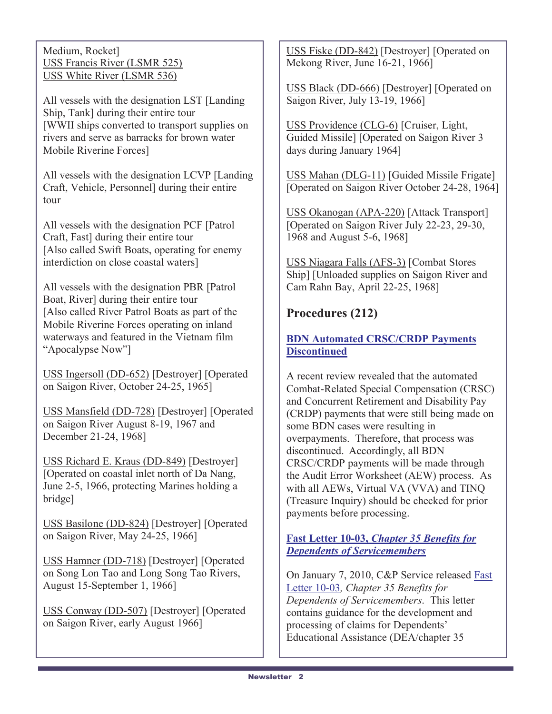Medium, Rocket] USS Francis River (LSMR 525) USS White River (LSMR 536)

All vessels with the designation LST [Landing Ship, Tank] during their entire tour [WWII ships converted to transport supplies on rivers and serve as barracks for brown water Mobile Riverine Forces]

All vessels with the designation LCVP [Landing Craft, Vehicle, Personnel] during their entire tour

All vessels with the designation PCF [Patrol Craft, Fast] during their entire tour [Also called Swift Boats, operating for enemy interdiction on close coastal waters]

All vessels with the designation PBR [Patrol Boat, River] during their entire tour [Also called River Patrol Boats as part of the Mobile Riverine Forces operating on inland waterways and featured in the Vietnam film "Apocalypse Now"]

USS Ingersoll (DD-652) [Destroyer] [Operated on Saigon River, October 24-25, 1965]

USS Mansfield (DD-728) [Destroyer] [Operated on Saigon River August 8-19, 1967 and December 21-24, 1968]

USS Richard E. Kraus (DD-849) [Destroyer] [Operated on coastal inlet north of Da Nang, June 2-5, 1966, protecting Marines holding a bridge]

USS Basilone (DD-824) [Destroyer] [Operated on Saigon River, May 24-25, 1966]

USS Hamner (DD-718) [Destroyer] [Operated on Song Lon Tao and Long Song Tao Rivers, August 15-September 1, 1966]

USS Conway (DD-507) [Destroyer] [Operated on Saigon River, early August 1966]

USS Fiske (DD-842) [Destroyer] [Operated on Mekong River, June 16-21, 1966]

USS Black (DD-666) [Destroyer] [Operated on Saigon River, July 13-19, 1966]

USS Providence (CLG-6) [Cruiser, Light, Guided Missile] [Operated on Saigon River 3 days during January 1964]

USS Mahan (DLG-11) [Guided Missile Frigate] [Operated on Saigon River October 24-28, 1964]

USS Okanogan (APA-220) [Attack Transport] [Operated on Saigon River July 22-23, 29-30, 1968 and August 5-6, 1968]

USS Niagara Falls (AFS-3) [Combat Stores Ship] [Unloaded supplies on Saigon River and Cam Rahn Bay, April 22-25, 1968]

# **Procedures (212)**

### **BDN Automated CRSC/CRDP Payments Discontinued**

A recent review revealed that the automated Combat-Related Special Compensation (CRSC) and Concurrent Retirement and Disability Pay (CRDP) payments that were still being made on some BDN cases were resulting in overpayments. Therefore, that process was discontinued. Accordingly, all BDN CRSC/CRDP payments will be made through the Audit Error Worksheet (AEW) process. As with all AEWs, Virtual VA (VVA) and TINQ (Treasure Inquiry) should be checked for prior payments before processing.

### **Fast Letter 10-03,** *Chapter 35 Benefits for Dependents of Servicemembers*

On January 7, 2010, C&P Service released Fast Letter 10-03*, Chapter 35 Benefits for Dependents of Servicemembers*. This letter contains guidance for the development and processing of claims for Dependents' Educational Assistance (DEA/chapter 35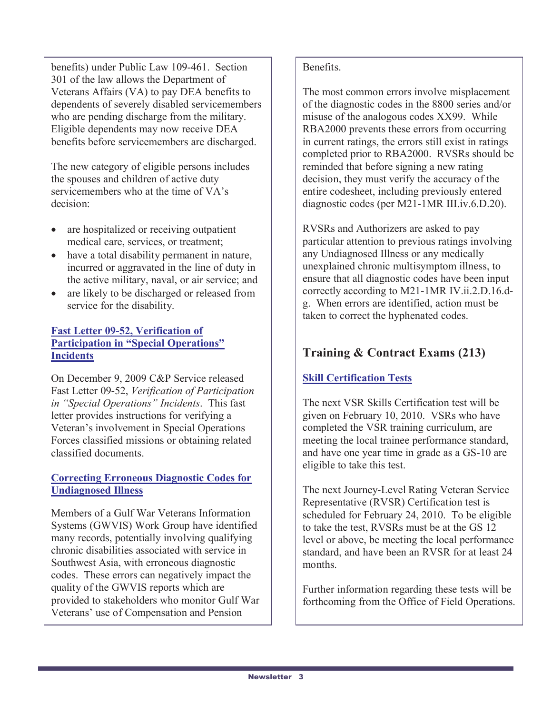benefits) under Public Law 109-461. Section 301 of the law allows the Department of Veterans Affairs (VA) to pay DEA benefits to dependents of severely disabled servicemembers who are pending discharge from the military. Eligible dependents may now receive DEA benefits before servicemembers are discharged.

The new category of eligible persons includes the spouses and children of active duty servicemembers who at the time of VA's decision:

- are hospitalized or receiving outpatient medical care, services, or treatment;
- have a total disability permanent in nature, incurred or aggravated in the line of duty in the active military, naval, or air service; and
- are likely to be discharged or released from service for the disability.

### **Fast Letter 09-52, Verification of Participation in "Special Operations" Incidents**

On December 9, 2009 C&P Service released Fast Letter 09-52, *Verification of Participation in "Special Operations" Incidents*. This fast letter provides instructions for verifying a Veteran's involvement in Special Operations Forces classified missions or obtaining related classified documents.

### **Correcting Erroneous Diagnostic Codes for Undiagnosed Illness**

Members of a Gulf War Veterans Information Systems (GWVIS) Work Group have identified many records, potentially involving qualifying chronic disabilities associated with service in Southwest Asia, with erroneous diagnostic codes. These errors can negatively impact the quality of the GWVIS reports which are provided to stakeholders who monitor Gulf War Veterans' use of Compensation and Pension

### Benefits.

The most common errors involve misplacement of the diagnostic codes in the 8800 series and/or misuse of the analogous codes XX99. While RBA2000 prevents these errors from occurring in current ratings, the errors still exist in ratings completed prior to RBA2000. RVSRs should be reminded that before signing a new rating decision, they must verify the accuracy of the entire codesheet, including previously entered diagnostic codes (per M21-1MR III.iv.6.D.20).

RVSRs and Authorizers are asked to pay particular attention to previous ratings involving any Undiagnosed Illness or any medically unexplained chronic multisymptom illness, to ensure that all diagnostic codes have been input correctly according to M21-1MR IV.ii.2.D.16.dg. When errors are identified, action must be taken to correct the hyphenated codes.

# **Training & Contract Exams (213)**

### **Skill Certification Tests**

The next VSR Skills Certification test will be given on February 10, 2010. VSRs who have completed the VSR training curriculum, are meeting the local trainee performance standard, and have one year time in grade as a GS-10 are eligible to take this test.

The next Journey-Level Rating Veteran Service Representative (RVSR) Certification test is scheduled for February 24, 2010. To be eligible to take the test, RVSRs must be at the GS 12 level or above, be meeting the local performance standard, and have been an RVSR for at least 24 months.

Further information regarding these tests will be forthcoming from the Office of Field Operations.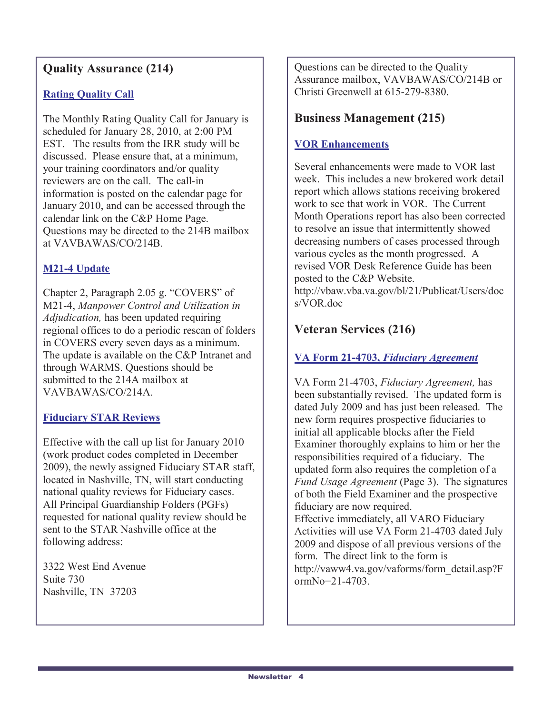# **Quality Assurance (214)**

### **Rating Quality Call**

The Monthly Rating Quality Call for January is scheduled for January 28, 2010, at 2:00 PM EST. The results from the IRR study will be discussed. Please ensure that, at a minimum, your training coordinators and/or quality reviewers are on the call. The call-in information is posted on the calendar page for January 2010, and can be accessed through the calendar link on the C&P Home Page. Questions may be directed to the 214B mailbox at VAVBAWAS/CO/214B.

### **M21-4 Update**

Chapter 2, Paragraph 2.05 g. "COVERS" of M21-4, *Manpower Control and Utilization in Adjudication,* has been updated requiring regional offices to do a periodic rescan of folders in COVERS every seven days as a minimum. The update is available on the C&P Intranet and through WARMS. Questions should be submitted to the 214A mailbox at VAVBAWAS/CO/214A.

### **Fiduciary STAR Reviews**

Effective with the call up list for January 2010 (work product codes completed in December 2009), the newly assigned Fiduciary STAR staff, located in Nashville, TN, will start conducting national quality reviews for Fiduciary cases. All Principal Guardianship Folders (PGFs) requested for national quality review should be sent to the STAR Nashville office at the following address:

3322 West End Avenue Suite 730 Nashville, TN 37203

Questions can be directed to the Quality Assurance mailbox, VAVBAWAS/CO/214B or Christi Greenwell at 615-279-8380.

## **Business Management (215)**

### **VOR Enhancements**

Several enhancements were made to VOR last week. This includes a new brokered work detail report which allows stations receiving brokered work to see that work in VOR. The Current Month Operations report has also been corrected to resolve an issue that intermittently showed decreasing numbers of cases processed through various cycles as the month progressed. A revised VOR Desk Reference Guide has been posted to the C&P Website. http://vbaw.vba.va.gov/bl/21/Publicat/Users/doc s/VOR.doc

# **Veteran Services (216)**

ormNo=21-4703.

### **VA Form 21-4703,** *Fiduciary Agreement*

VA Form 21-4703, *Fiduciary Agreement,* has been substantially revised. The updated form is dated July 2009 and has just been released. The new form requires prospective fiduciaries to initial all applicable blocks after the Field Examiner thoroughly explains to him or her the responsibilities required of a fiduciary. The updated form also requires the completion of a *Fund Usage Agreement* (Page 3). The signatures of both the Field Examiner and the prospective fiduciary are now required. Effective immediately, all VARO Fiduciary Activities will use VA Form 21-4703 dated July 2009 and dispose of all previous versions of the form. The direct link to the form is http://vaww4.va.gov/vaforms/form\_detail.asp?F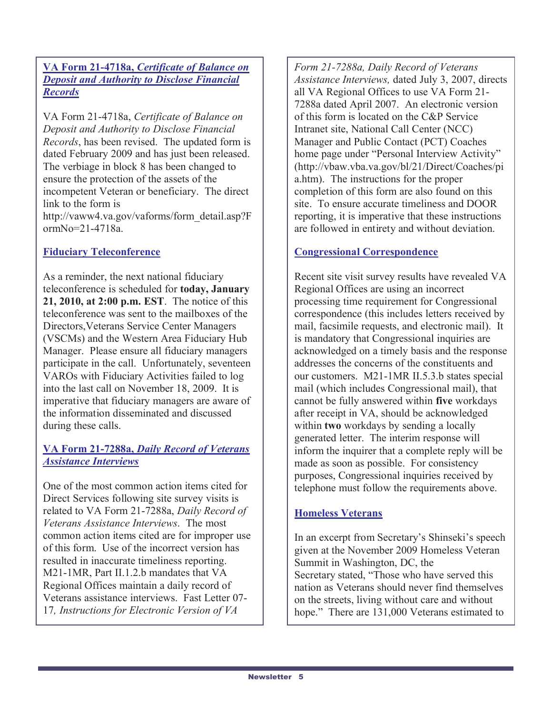**VA Form 21-4718a,** *Certificate of Balance on Deposit and Authority to Disclose Financial Records*

VA Form 21-4718a, *Certificate of Balance on Deposit and Authority to Disclose Financial Records*, has been revised. The updated form is dated February 2009 and has just been released. The verbiage in block 8 has been changed to ensure the protection of the assets of the incompetent Veteran or beneficiary. The direct link to the form is http://vaww4.va.gov/vaforms/form\_detail.asp?F ormNo=21-4718a.

### **Fiduciary Teleconference**

As a reminder, the next national fiduciary teleconference is scheduled for **today, January 21, 2010, at 2:00 p.m. EST**. The notice of this teleconference was sent to the mailboxes of the Directors,Veterans Service Center Managers (VSCMs) and the Western Area Fiduciary Hub Manager. Please ensure all fiduciary managers participate in the call. Unfortunately, seventeen VAROs with Fiduciary Activities failed to log into the last call on November 18, 2009. It is imperative that fiduciary managers are aware of the information disseminated and discussed during these calls.

### **VA Form 21-7288a,** *Daily Record of Veterans Assistance Interviews*

One of the most common action items cited for Direct Services following site survey visits is related to VA Form 21-7288a, *Daily Record of Veterans Assistance Interviews*. The most common action items cited are for improper use of this form. Use of the incorrect version has resulted in inaccurate timeliness reporting. M21-1MR, Part II.1.2.b mandates that VA Regional Offices maintain a daily record of Veterans assistance interviews. Fast Letter 07- 17*, Instructions for Electronic Version of VA* 

*Form 21-7288a, Daily Record of Veterans Assistance Interviews,* dated July 3, 2007, directs all VA Regional Offices to use VA Form 21- 7288a dated April 2007. An electronic version of this form is located on the C&P Service Intranet site, National Call Center (NCC) Manager and Public Contact (PCT) Coaches home page under "Personal Interview Activity" (http://vbaw.vba.va.gov/bl/21/Direct/Coaches/pi a.htm). The instructions for the proper completion of this form are also found on this site. To ensure accurate timeliness and DOOR reporting, it is imperative that these instructions are followed in entirety and without deviation.

### **Congressional Correspondence**

Recent site visit survey results have revealed VA Regional Offices are using an incorrect processing time requirement for Congressional correspondence (this includes letters received by mail, facsimile requests, and electronic mail). It is mandatory that Congressional inquiries are acknowledged on a timely basis and the response addresses the concerns of the constituents and our customers. M21-1MR II.5.3.b states special mail (which includes Congressional mail), that cannot be fully answered within **five** workdays after receipt in VA, should be acknowledged within **two** workdays by sending a locally generated letter. The interim response will inform the inquirer that a complete reply will be made as soon as possible. For consistency purposes, Congressional inquiries received by telephone must follow the requirements above.

### **Homeless Veterans**

In an excerpt from Secretary's Shinseki's speech given at the November 2009 Homeless Veteran Summit in Washington, DC, the Secretary stated, "Those who have served this nation as Veterans should never find themselves on the streets, living without care and without hope." There are 131,000 Veterans estimated to